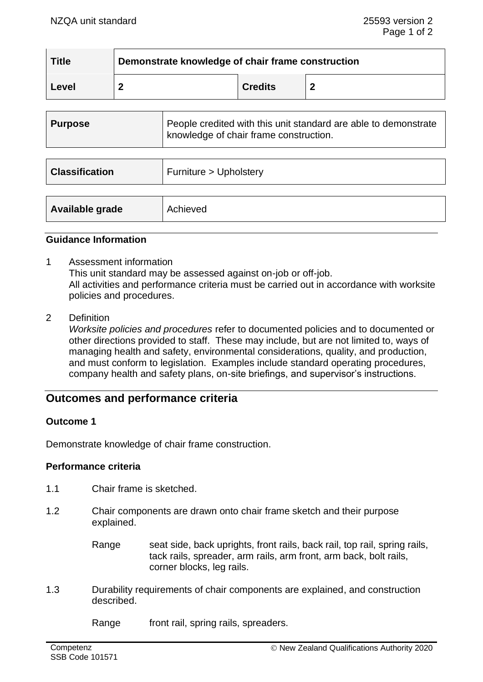| <b>Title</b> | Demonstrate knowledge of chair frame construction |                |  |  |
|--------------|---------------------------------------------------|----------------|--|--|
| Level        |                                                   | <b>Credits</b> |  |  |

| <b>Purpose</b>        | People credited with this unit standard are able to demonstrate<br>knowledge of chair frame construction. |
|-----------------------|-----------------------------------------------------------------------------------------------------------|
|                       |                                                                                                           |
| <b>Classification</b> | Furniture > Upholstery                                                                                    |
|                       |                                                                                                           |
| Available grade       | Achieved                                                                                                  |

### **Guidance Information**

- 1 Assessment information This unit standard may be assessed against on-job or off-job. All activities and performance criteria must be carried out in accordance with worksite policies and procedures.
- 2 Definition

*Worksite policies and procedures* refer to documented policies and to documented or other directions provided to staff. These may include, but are not limited to, ways of managing health and safety, environmental considerations, quality, and production, and must conform to legislation. Examples include standard operating procedures, company health and safety plans, on-site briefings, and supervisor's instructions.

# **Outcomes and performance criteria**

### **Outcome 1**

Demonstrate knowledge of chair frame construction.

#### **Performance criteria**

- 1.1 Chair frame is sketched.
- 1.2 Chair components are drawn onto chair frame sketch and their purpose explained.
	- Range seat side, back uprights, front rails, back rail, top rail, spring rails, tack rails, spreader, arm rails, arm front, arm back, bolt rails, corner blocks, leg rails.
- 1.3 Durability requirements of chair components are explained, and construction described.

Range front rail, spring rails, spreaders.